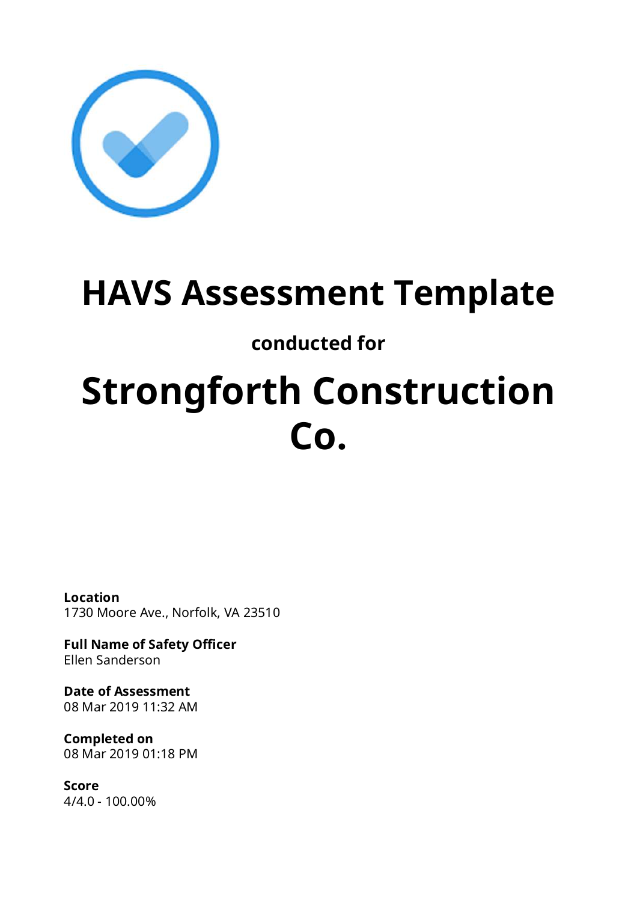

## **HAVS Assessment Template**

### **conducted for**

# **Strongforth Construction Co.**

**Location** 1730 Moore Ave., Norfolk, VA 23510

**Full Name of Safety Officer** Ellen Sanderson

**Date of Assessment** 08 Mar 2019 11:32 AM

**Completed on** 08 Mar 2019 01:18 PM

**Score** 4/4.0 - 100.00%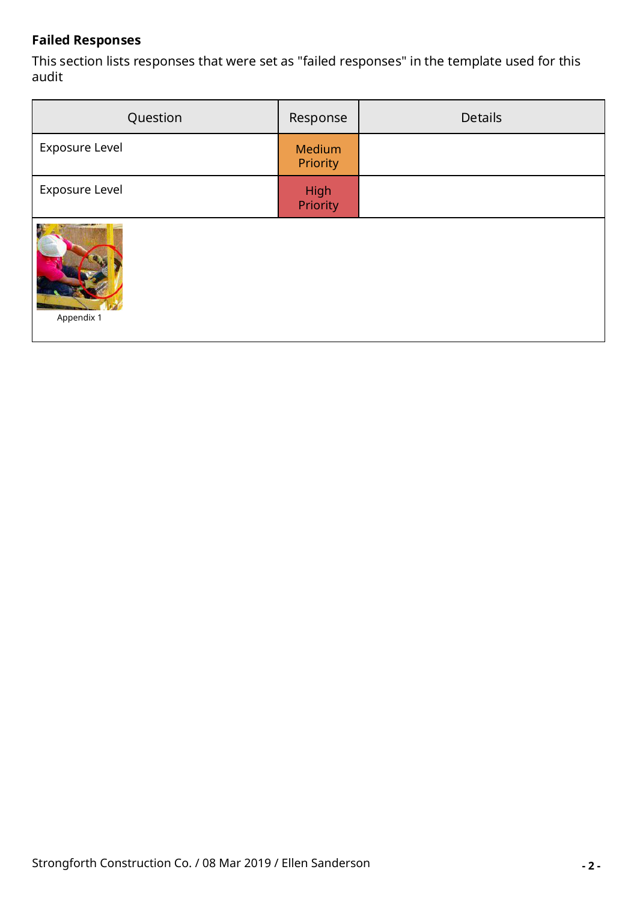#### **Failed Responses**

This section lists responses that were set as "failed responses" in the template used for this audit

| Question              | Response           | <b>Details</b> |
|-----------------------|--------------------|----------------|
| <b>Exposure Level</b> | Medium<br>Priority |                |
| Exposure Level        | High<br>Priority   |                |
| Appendix 1            |                    |                |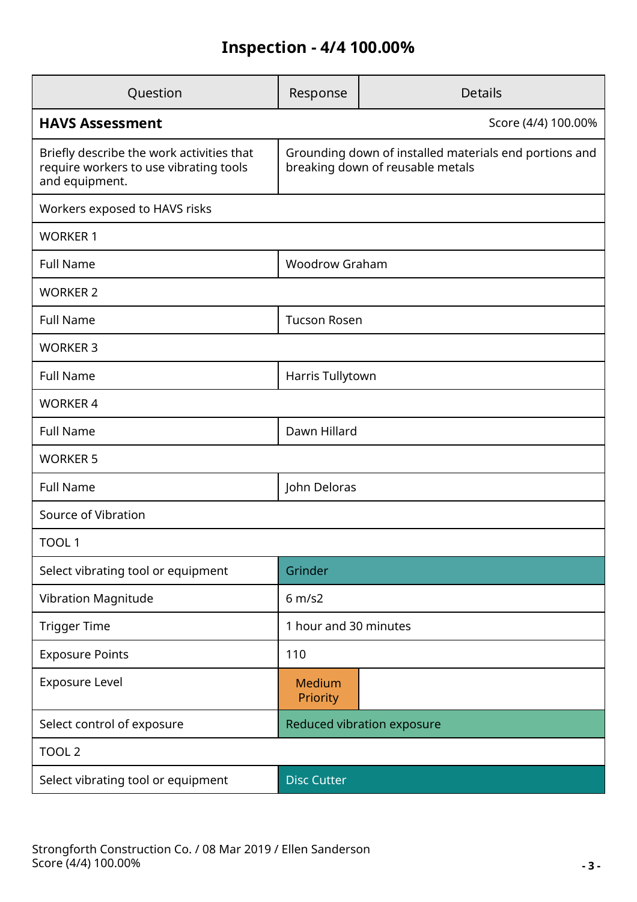### **Inspection - 4/4 100.00%**

| Question                                                                                              | Response                                                                                   | <b>Details</b>             |  |  |  |  |
|-------------------------------------------------------------------------------------------------------|--------------------------------------------------------------------------------------------|----------------------------|--|--|--|--|
| <b>HAVS Assessment</b><br>Score (4/4) 100.00%                                                         |                                                                                            |                            |  |  |  |  |
| Briefly describe the work activities that<br>require workers to use vibrating tools<br>and equipment. | Grounding down of installed materials end portions and<br>breaking down of reusable metals |                            |  |  |  |  |
| Workers exposed to HAVS risks                                                                         |                                                                                            |                            |  |  |  |  |
| <b>WORKER 1</b>                                                                                       |                                                                                            |                            |  |  |  |  |
| <b>Full Name</b>                                                                                      | <b>Woodrow Graham</b>                                                                      |                            |  |  |  |  |
| <b>WORKER 2</b>                                                                                       |                                                                                            |                            |  |  |  |  |
| <b>Full Name</b>                                                                                      | <b>Tucson Rosen</b>                                                                        |                            |  |  |  |  |
| <b>WORKER 3</b>                                                                                       |                                                                                            |                            |  |  |  |  |
| <b>Full Name</b>                                                                                      | Harris Tullytown                                                                           |                            |  |  |  |  |
| <b>WORKER 4</b>                                                                                       |                                                                                            |                            |  |  |  |  |
| <b>Full Name</b>                                                                                      | Dawn Hillard                                                                               |                            |  |  |  |  |
| <b>WORKER 5</b>                                                                                       |                                                                                            |                            |  |  |  |  |
| <b>Full Name</b>                                                                                      | John Deloras                                                                               |                            |  |  |  |  |
| Source of Vibration                                                                                   |                                                                                            |                            |  |  |  |  |
| TOOL 1                                                                                                |                                                                                            |                            |  |  |  |  |
| Select vibrating tool or equipment                                                                    | Grinder                                                                                    |                            |  |  |  |  |
| Vibration Magnitude                                                                                   | 6 m/s2                                                                                     |                            |  |  |  |  |
| <b>Trigger Time</b>                                                                                   | 1 hour and 30 minutes                                                                      |                            |  |  |  |  |
| <b>Exposure Points</b>                                                                                | 110                                                                                        |                            |  |  |  |  |
| Exposure Level                                                                                        | Medium<br>Priority                                                                         |                            |  |  |  |  |
| Select control of exposure                                                                            |                                                                                            | Reduced vibration exposure |  |  |  |  |
| TOOL <sub>2</sub>                                                                                     |                                                                                            |                            |  |  |  |  |
| Select vibrating tool or equipment                                                                    | <b>Disc Cutter</b>                                                                         |                            |  |  |  |  |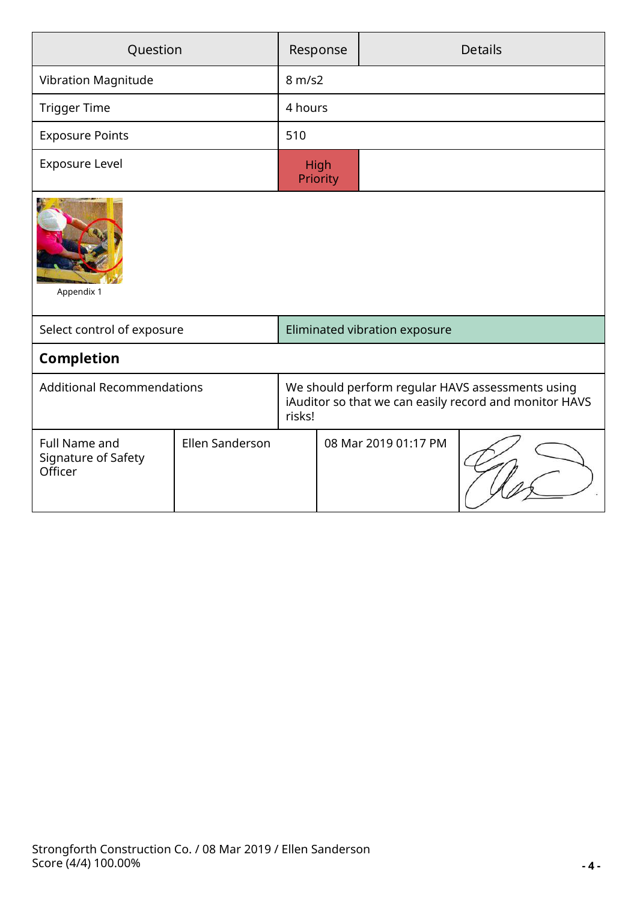| Question                                        |                        | <b>Details</b><br>Response                                                                                           |                      |  |  |  |
|-------------------------------------------------|------------------------|----------------------------------------------------------------------------------------------------------------------|----------------------|--|--|--|
| Vibration Magnitude                             |                        | 8 m/s2                                                                                                               |                      |  |  |  |
| <b>Trigger Time</b>                             |                        | 4 hours                                                                                                              |                      |  |  |  |
| <b>Exposure Points</b>                          |                        | 510                                                                                                                  |                      |  |  |  |
| <b>Exposure Level</b>                           |                        | High<br>Priority                                                                                                     |                      |  |  |  |
| Appendix 1                                      |                        |                                                                                                                      |                      |  |  |  |
| Select control of exposure                      |                        | Eliminated vibration exposure                                                                                        |                      |  |  |  |
| <b>Completion</b>                               |                        |                                                                                                                      |                      |  |  |  |
| <b>Additional Recommendations</b>               |                        | We should perform regular HAVS assessments using<br>iAuditor so that we can easily record and monitor HAVS<br>risks! |                      |  |  |  |
| Full Name and<br>Signature of Safety<br>Officer | <b>Ellen Sanderson</b> |                                                                                                                      | 08 Mar 2019 01:17 PM |  |  |  |